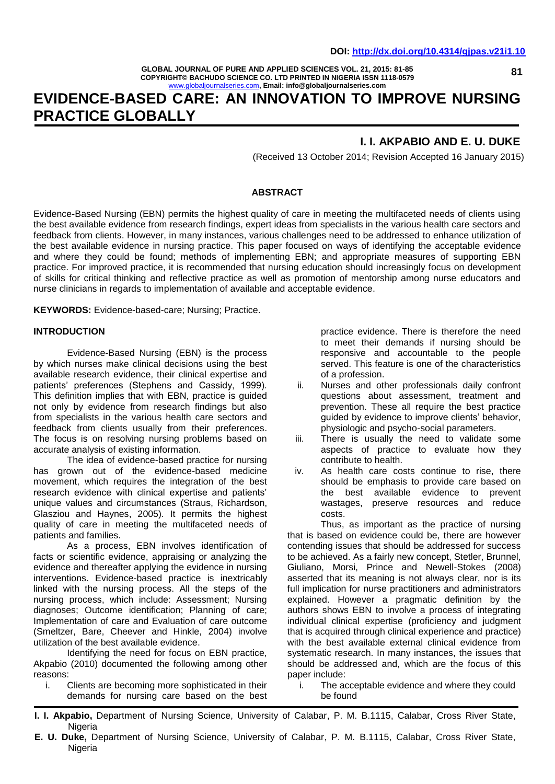**GLOBAL JOURNAL OF PURE AND APPLIED SCIENCES VOL. 21, 2015: 81-85 COPYRIGHT© BACHUDO SCIENCE CO. LTD PRINTED IN NIGERIA ISSN 1118-0579** [www.globaljournalseries.com](http://www.globaljournalseries.com/)**, Email: info@globaljournalseries.com**

# **EVIDENCE-BASED CARE: AN INNOVATION TO IMPROVE NURSING PRACTICE GLOBALLY**

### **I. I. AKPABIO AND E. U. DUKE**

(Received 13 October 2014; Revision Accepted 16 January 2015)

#### **ABSTRACT**

Evidence-Based Nursing (EBN) permits the highest quality of care in meeting the multifaceted needs of clients using the best available evidence from research findings, expert ideas from specialists in the various health care sectors and feedback from clients. However, in many instances, various challenges need to be addressed to enhance utilization of the best available evidence in nursing practice. This paper focused on ways of identifying the acceptable evidence and where they could be found; methods of implementing EBN; and appropriate measures of supporting EBN practice. For improved practice, it is recommended that nursing education should increasingly focus on development of skills for critical thinking and reflective practice as well as promotion of mentorship among nurse educators and nurse clinicians in regards to implementation of available and acceptable evidence.

**KEYWORDS:** Evidence-based-care; Nursing; Practice.

#### **INTRODUCTION**

Evidence-Based Nursing (EBN) is the process by which nurses make clinical decisions using the best available research evidence, their clinical expertise and patients' preferences (Stephens and Cassidy, 1999). This definition implies that with EBN, practice is guided not only by evidence from research findings but also from specialists in the various health care sectors and feedback from clients usually from their preferences. The focus is on resolving nursing problems based on accurate analysis of existing information.

The idea of evidence-based practice for nursing has grown out of the evidence-based medicine movement, which requires the integration of the best research evidence with clinical expertise and patients' unique values and circumstances (Straus, Richardson, Glasziou and Haynes, 2005). It permits the highest quality of care in meeting the multifaceted needs of patients and families.

As a process, EBN involves identification of facts or scientific evidence, appraising or analyzing the evidence and thereafter applying the evidence in nursing interventions. Evidence-based practice is inextricably linked with the nursing process. All the steps of the nursing process, which include: Assessment; Nursing diagnoses; Outcome identification; Planning of care; Implementation of care and Evaluation of care outcome (Smeltzer, Bare, Cheever and Hinkle, 2004) involve utilization of the best available evidence.

Identifying the need for focus on EBN practice, Akpabio (2010) documented the following among other reasons:

i. Clients are becoming more sophisticated in their demands for nursing care based on the best practice evidence. There is therefore the need to meet their demands if nursing should be responsive and accountable to the people served. This feature is one of the characteristics of a profession.

- ii. Nurses and other professionals daily confront questions about assessment, treatment and prevention. These all require the best practice guided by evidence to improve clients' behavior, physiologic and psycho-social parameters.
- iii. There is usually the need to validate some aspects of practice to evaluate how they contribute to health.
- iv. As health care costs continue to rise, there should be emphasis to provide care based on the best available evidence to prevent wastages, preserve resources and reduce costs.

Thus, as important as the practice of nursing that is based on evidence could be, there are however contending issues that should be addressed for success to be achieved. As a fairly new concept, Stetler, Brunnel, Giuliano, Morsi, Prince and Newell-Stokes (2008) asserted that its meaning is not always clear, nor is its full implication for nurse practitioners and administrators explained. However a pragmatic definition by the authors shows EBN to involve a process of integrating individual clinical expertise (proficiency and judgment that is acquired through clinical experience and practice) with the best available external clinical evidence from systematic research. In many instances, the issues that should be addressed and, which are the focus of this paper include:

i. The acceptable evidence and where they could be found

**81**

**I. I. Akpabio,** Department of Nursing Science, University of Calabar, P. M. B.1115, Calabar, Cross River State, **Nigeria** 

**E. U. Duke,** Department of Nursing Science, University of Calabar, P. M. B.1115, Calabar, Cross River State, Nigeria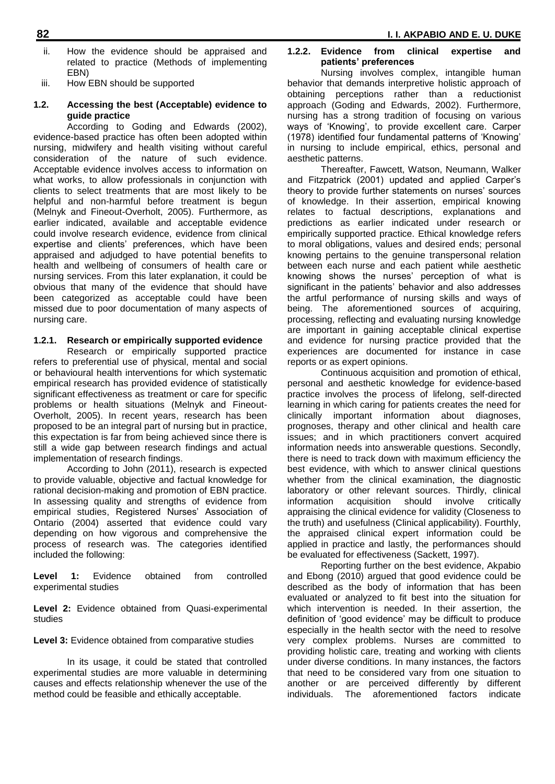- ii. How the evidence should be appraised and related to practice (Methods of implementing EBN)
- iii. How EBN should be supported

#### **1.2. Accessing the best (Acceptable) evidence to guide practice**

According to Goding and Edwards (2002), evidence-based practice has often been adopted within nursing, midwifery and health visiting without careful consideration of the nature of such evidence. Acceptable evidence involves access to information on what works, to allow professionals in conjunction with clients to select treatments that are most likely to be helpful and non-harmful before treatment is begun (Melnyk and Fineout-Overholt, 2005). Furthermore, as earlier indicated, available and acceptable evidence could involve research evidence, evidence from clinical expertise and clients' preferences, which have been appraised and adjudged to have potential benefits to health and wellbeing of consumers of health care or nursing services. From this later explanation, it could be obvious that many of the evidence that should have been categorized as acceptable could have been missed due to poor documentation of many aspects of nursing care.

#### **1.2.1. Research or empirically supported evidence**

Research or empirically supported practice refers to preferential use of physical, mental and social or behavioural health interventions for which systematic empirical research has provided evidence of statistically significant effectiveness as treatment or care for specific problems or health situations (Melnyk and Fineout-Overholt, 2005). In recent years, research has been proposed to be an integral part of nursing but in practice, this expectation is far from being achieved since there is still a wide gap between research findings and actual implementation of research findings.

According to John (2011), research is expected to provide valuable, objective and factual knowledge for rational decision-making and promotion of EBN practice. In assessing quality and strengths of evidence from empirical studies, Registered Nurses' Association of Ontario (2004) asserted that evidence could vary depending on how vigorous and comprehensive the process of research was. The categories identified included the following:

**Level 1:** Evidence obtained from controlled experimental studies

**Level 2:** Evidence obtained from Quasi-experimental studies

**Level 3:** Evidence obtained from comparative studies

In its usage, it could be stated that controlled experimental studies are more valuable in determining causes and effects relationship whenever the use of the method could be feasible and ethically acceptable.

#### **1.2.2. Evidence from clinical expertise and patients' preferences**

Nursing involves complex, intangible human behavior that demands interpretive holistic approach of obtaining perceptions rather than a reductionist approach (Goding and Edwards, 2002). Furthermore, nursing has a strong tradition of focusing on various ways of 'Knowing', to provide excellent care. Carper (1978) identified four fundamental patterns of 'Knowing' in nursing to include empirical, ethics, personal and aesthetic patterns.

Thereafter, Fawcett, Watson, Neumann, Walker and Fitzpatrick (2001) updated and applied Carper's theory to provide further statements on nurses' sources of knowledge. In their assertion, empirical knowing relates to factual descriptions, explanations and predictions as earlier indicated under research or empirically supported practice. Ethical knowledge refers to moral obligations, values and desired ends; personal knowing pertains to the genuine transpersonal relation between each nurse and each patient while aesthetic knowing shows the nurses' perception of what is significant in the patients' behavior and also addresses the artful performance of nursing skills and ways of being. The aforementioned sources of acquiring, processing, reflecting and evaluating nursing knowledge are important in gaining acceptable clinical expertise and evidence for nursing practice provided that the experiences are documented for instance in case reports or as expert opinions.

Continuous acquisition and promotion of ethical, personal and aesthetic knowledge for evidence-based practice involves the process of lifelong, self-directed learning in which caring for patients creates the need for clinically important information about diagnoses, prognoses, therapy and other clinical and health care issues; and in which practitioners convert acquired information needs into answerable questions. Secondly, there is need to track down with maximum efficiency the best evidence, with which to answer clinical questions whether from the clinical examination, the diagnostic laboratory or other relevant sources. Thirdly, clinical information acquisition should involve critically appraising the clinical evidence for validity (Closeness to the truth) and usefulness (Clinical applicability). Fourthly, the appraised clinical expert information could be applied in practice and lastly, the performances should be evaluated for effectiveness (Sackett, 1997).

Reporting further on the best evidence, Akpabio and Ebong (2010) argued that good evidence could be described as the body of information that has been evaluated or analyzed to fit best into the situation for which intervention is needed. In their assertion, the definition of 'good evidence' may be difficult to produce especially in the health sector with the need to resolve very complex problems. Nurses are committed to providing holistic care, treating and working with clients under diverse conditions. In many instances, the factors that need to be considered vary from one situation to another or are perceived differently by different individuals. The aforementioned factors indicate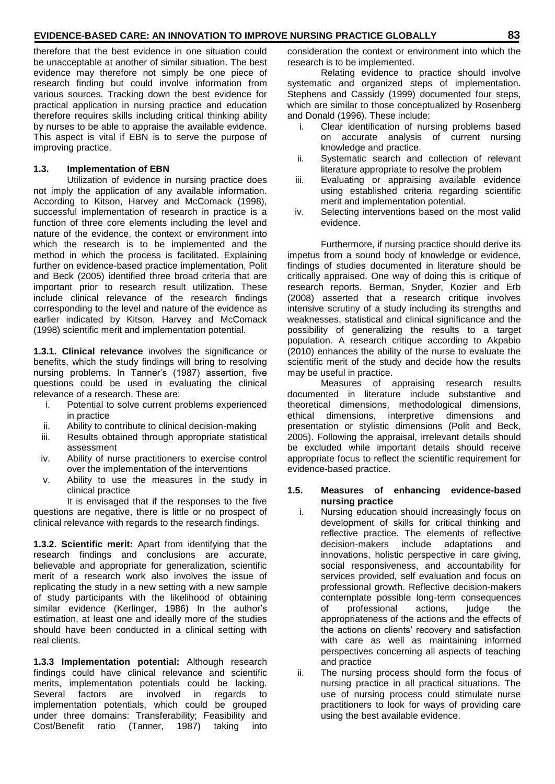therefore that the best evidence in one situation could be unacceptable at another of similar situation. The best evidence may therefore not simply be one piece of research finding but could involve information from various sources. Tracking down the best evidence for practical application in nursing practice and education therefore requires skills including critical thinking ability by nurses to be able to appraise the available evidence. This aspect is vital if EBN is to serve the purpose of improving practice.

#### **1.3. Implementation of EBN**

Utilization of evidence in nursing practice does not imply the application of any available information. According to Kitson, Harvey and McComack (1998), successful implementation of research in practice is a function of three core elements including the level and nature of the evidence, the context or environment into which the research is to be implemented and the method in which the process is facilitated. Explaining further on evidence-based practice implementation, Polit and Beck (2005) identified three broad criteria that are important prior to research result utilization. These include clinical relevance of the research findings corresponding to the level and nature of the evidence as earlier indicated by Kitson, Harvey and McComack (1998) scientific merit and implementation potential.

**1.3.1. Clinical relevance** involves the significance or benefits, which the study findings will bring to resolving nursing problems. In Tanner's (1987) assertion, five questions could be used in evaluating the clinical relevance of a research. These are:

- i. Potential to solve current problems experienced in practice
- ii. Ability to contribute to clinical decision-making
- iii. Results obtained through appropriate statistical assessment
- iv. Ability of nurse practitioners to exercise control over the implementation of the interventions
- v. Ability to use the measures in the study in clinical practice

It is envisaged that if the responses to the five questions are negative, there is little or no prospect of clinical relevance with regards to the research findings.

**1.3.2. Scientific merit:** Apart from identifying that the research findings and conclusions are accurate, believable and appropriate for generalization, scientific merit of a research work also involves the issue of replicating the study in a new setting with a new sample of study participants with the likelihood of obtaining similar evidence (Kerlinger, 1986) In the author's estimation, at least one and ideally more of the studies should have been conducted in a clinical setting with real clients.

**1.3.3 Implementation potential:** Although research findings could have clinical relevance and scientific merits, implementation potentials could be lacking. Several factors are involved in regards to implementation potentials, which could be grouped under three domains: Transferability; Feasibility and Cost/Benefit ratio (Tanner, 1987) taking into

consideration the context or environment into which the research is to be implemented.

Relating evidence to practice should involve systematic and organized steps of implementation. Stephens and Cassidy (1999) documented four steps, which are similar to those conceptualized by Rosenberg and Donald (1996). These include:

- i. Clear identification of nursing problems based on accurate analysis of current nursing knowledge and practice.
- ii. Systematic search and collection of relevant literature appropriate to resolve the problem
- iii. Evaluating or appraising available evidence using established criteria regarding scientific merit and implementation potential.
- iv. Selecting interventions based on the most valid evidence.

Furthermore, if nursing practice should derive its impetus from a sound body of knowledge or evidence, findings of studies documented in literature should be critically appraised. One way of doing this is critique of research reports. Berman, Snyder, Kozier and Erb (2008) asserted that a research critique involves intensive scrutiny of a study including its strengths and weaknesses, statistical and clinical significance and the possibility of generalizing the results to a target population. A research critique according to Akpabio (2010) enhances the ability of the nurse to evaluate the scientific merit of the study and decide how the results may be useful in practice.

Measures of appraising research results documented in literature include substantive and theoretical dimensions, methodological dimensions, ethical dimensions, interpretive dimensions and presentation or stylistic dimensions (Polit and Beck, 2005). Following the appraisal, irrelevant details should be excluded while important details should receive appropriate focus to reflect the scientific requirement for evidence-based practice.

#### **1.5. Measures of enhancing evidence-based nursing practice**

- i. Nursing education should increasingly focus on development of skills for critical thinking and reflective practice. The elements of reflective<br>decision-makers include adaptations and decision-makers include adaptations and innovations, holistic perspective in care giving, social responsiveness, and accountability for services provided, self evaluation and focus on professional growth. Reflective decision-makers contemplate possible long-term consequences of professional actions, judge the appropriateness of the actions and the effects of the actions on clients' recovery and satisfaction with care as well as maintaining informed perspectives concerning all aspects of teaching and practice
- ii. The nursing process should form the focus of nursing practice in all practical situations. The use of nursing process could stimulate nurse practitioners to look for ways of providing care using the best available evidence.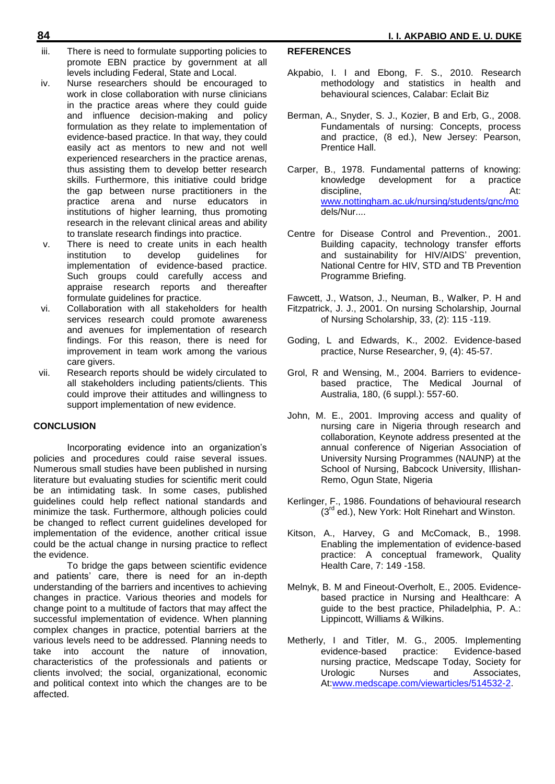- iii. There is need to formulate supporting policies to promote EBN practice by government at all levels including Federal, State and Local.
- iv. Nurse researchers should be encouraged to work in close collaboration with nurse clinicians in the practice areas where they could guide and influence decision-making and policy formulation as they relate to implementation of evidence-based practice. In that way, they could easily act as mentors to new and not well experienced researchers in the practice arenas, thus assisting them to develop better research skills. Furthermore, this initiative could bridge the gap between nurse practitioners in the practice arena and nurse educators in institutions of higher learning, thus promoting research in the relevant clinical areas and ability to translate research findings into practice.
- v. There is need to create units in each health institution to develop guidelines for implementation of evidence-based practice. Such groups could carefully access and appraise research reports and thereafter formulate guidelines for practice.
- vi. Collaboration with all stakeholders for health services research could promote awareness and avenues for implementation of research findings. For this reason, there is need for improvement in team work among the various care givers.
- vii. Research reports should be widely circulated to all stakeholders including patients/clients. This could improve their attitudes and willingness to support implementation of new evidence.

#### **CONCLUSION**

Incorporating evidence into an organization's policies and procedures could raise several issues. Numerous small studies have been published in nursing literature but evaluating studies for scientific merit could be an intimidating task. In some cases, published guidelines could help reflect national standards and minimize the task. Furthermore, although policies could be changed to reflect current guidelines developed for implementation of the evidence, another critical issue could be the actual change in nursing practice to reflect the evidence.

To bridge the gaps between scientific evidence and patients' care, there is need for an in-depth understanding of the barriers and incentives to achieving changes in practice. Various theories and models for change point to a multitude of factors that may affect the successful implementation of evidence. When planning complex changes in practice, potential barriers at the various levels need to be addressed. Planning needs to take into account the nature of innovation, characteristics of the professionals and patients or clients involved; the social, organizational, economic and political context into which the changes are to be affected.

## **REFERENCES**

- Akpabio, I. I and Ebong, F. S., 2010. Research methodology and statistics in health and behavioural sciences, Calabar: Eclait Biz
- Berman, A., Snyder, S. J., Kozier, B and Erb, G., 2008. Fundamentals of nursing: Concepts, process and practice, (8 ed.), New Jersey: Pearson, Prentice Hall.
- Carper, B., 1978. Fundamental patterns of knowing: knowledge development for a practice discipline, and the contract of the contract of the contract of the contract of the contract of the contract of the contract of the contract of the contract of the contract of the contract of the contract of the contract o [www.nottingham.ac.uk/nursing/students/gnc/mo](http://www.nottingham.ac.uk/nursing/students/gnc/mo) dels/Nur....
- Centre for Disease Control and Prevention., 2001. Building capacity, technology transfer efforts and sustainability for HIV/AIDS' prevention, National Centre for HIV, STD and TB Prevention Programme Briefing.

Fawcett, J., Watson, J., Neuman, B., Walker, P. H and Fitzpatrick, J. J., 2001. On nursing Scholarship, Journal of Nursing Scholarship, 33, (2): 115 -119.

- Goding, L and Edwards, K., 2002. Evidence-based practice, Nurse Researcher, 9, (4): 45-57.
- Grol, R and Wensing, M., 2004. Barriers to evidencebased practice, The Medical Journal of Australia, 180, (6 suppl.): 557-60.
- John, M. E., 2001. Improving access and quality of nursing care in Nigeria through research and collaboration, Keynote address presented at the annual conference of Nigerian Association of University Nursing Programmes (NAUNP) at the School of Nursing, Babcock University, Illishan-Remo, Ogun State, Nigeria
- Kerlinger, F., 1986. Foundations of behavioural research  $(3<sup>rd</sup>$  ed.), New York: Holt Rinehart and Winston.
- Kitson, A., Harvey, G and McComack, B., 1998. Enabling the implementation of evidence-based practice: A conceptual framework, Quality Health Care, 7: 149 -158.
- Melnyk, B. M and Fineout-Overholt, E., 2005. Evidencebased practice in Nursing and Healthcare: A guide to the best practice, Philadelphia, P. A.: Lippincott, Williams & Wilkins.
- Metherly, I and Titler, M. G., 2005. Implementing evidence-based practice: Evidence-based nursing practice, Medscape Today, Society for Urologic Nurses and Associates, At[:www.medscape.com/viewarticles/514532-2.](http://www.medscape.com/viewarticles/514532-2)